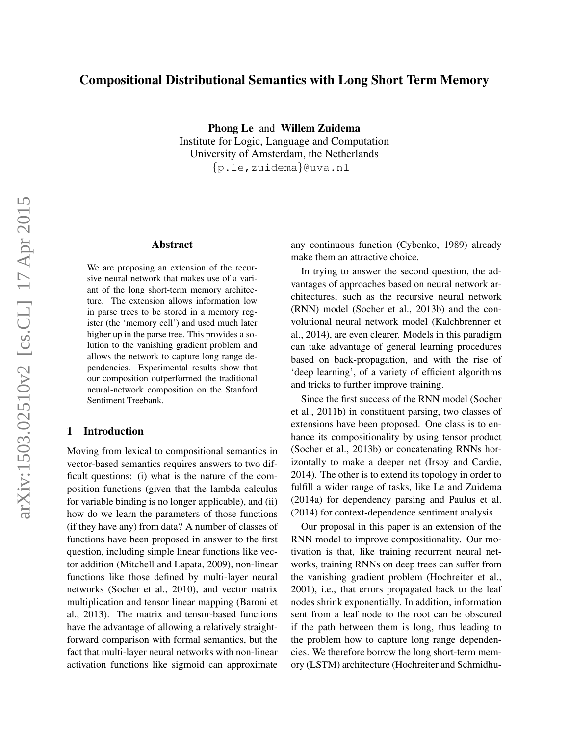# Compositional Distributional Semantics with Long Short Term Memory

Phong Le and Willem Zuidema Institute for Logic, Language and Computation University of Amsterdam, the Netherlands {p.le,zuidema}@uva.nl

# Abstract

We are proposing an extension of the recursive neural network that makes use of a variant of the long short-term memory architecture. The extension allows information low in parse trees to be stored in a memory register (the 'memory cell') and used much later higher up in the parse tree. This provides a solution to the vanishing gradient problem and allows the network to capture long range dependencies. Experimental results show that our composition outperformed the traditional neural-network composition on the Stanford Sentiment Treebank.

## 1 Introduction

Moving from lexical to compositional semantics in vector-based semantics requires answers to two difficult questions: (i) what is the nature of the composition functions (given that the lambda calculus for variable binding is no longer applicable), and (ii) how do we learn the parameters of those functions (if they have any) from data? A number of classes of functions have been proposed in answer to the first question, including simple linear functions like vector addition (Mitchell and Lapata, 2009), non-linear functions like those defined by multi-layer neural networks (Socher et al., 2010), and vector matrix multiplication and tensor linear mapping (Baroni et al., 2013). The matrix and tensor-based functions have the advantage of allowing a relatively straightforward comparison with formal semantics, but the fact that multi-layer neural networks with non-linear activation functions like sigmoid can approximate

any continuous function (Cybenko, 1989) already make them an attractive choice.

In trying to answer the second question, the advantages of approaches based on neural network architectures, such as the recursive neural network (RNN) model (Socher et al., 2013b) and the convolutional neural network model (Kalchbrenner et al., 2014), are even clearer. Models in this paradigm can take advantage of general learning procedures based on back-propagation, and with the rise of 'deep learning', of a variety of efficient algorithms and tricks to further improve training.

Since the first success of the RNN model (Socher et al., 2011b) in constituent parsing, two classes of extensions have been proposed. One class is to enhance its compositionality by using tensor product (Socher et al., 2013b) or concatenating RNNs horizontally to make a deeper net (Irsoy and Cardie, 2014). The other is to extend its topology in order to fulfill a wider range of tasks, like Le and Zuidema (2014a) for dependency parsing and Paulus et al. (2014) for context-dependence sentiment analysis.

Our proposal in this paper is an extension of the RNN model to improve compositionality. Our motivation is that, like training recurrent neural networks, training RNNs on deep trees can suffer from the vanishing gradient problem (Hochreiter et al., 2001), i.e., that errors propagated back to the leaf nodes shrink exponentially. In addition, information sent from a leaf node to the root can be obscured if the path between them is long, thus leading to the problem how to capture long range dependencies. We therefore borrow the long short-term memory (LSTM) architecture (Hochreiter and Schmidhu-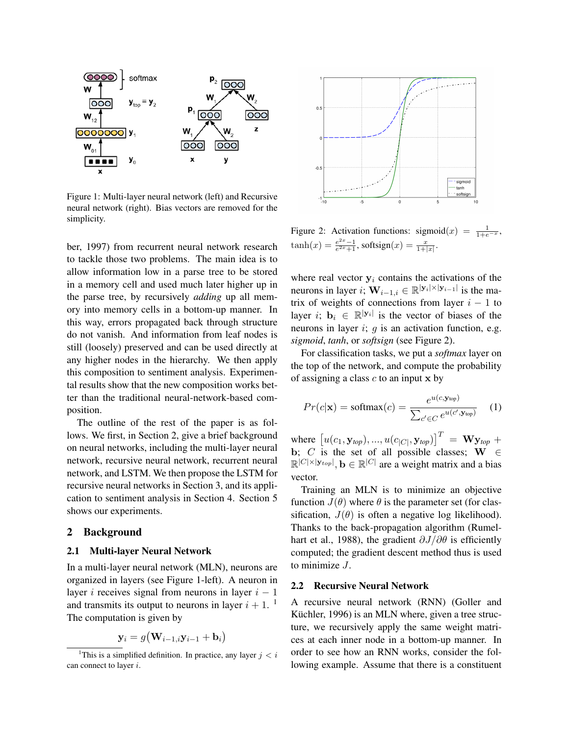

Figure 1: Multi-layer neural network (left) and Recursive neural network (right). Bias vectors are removed for the simplicity.

ber, 1997) from recurrent neural network research to tackle those two problems. The main idea is to allow information low in a parse tree to be stored in a memory cell and used much later higher up in the parse tree, by recursively *adding* up all memory into memory cells in a bottom-up manner. In this way, errors propagated back through structure do not vanish. And information from leaf nodes is still (loosely) preserved and can be used directly at any higher nodes in the hierarchy. We then apply this composition to sentiment analysis. Experimental results show that the new composition works better than the traditional neural-network-based composition.

The outline of the rest of the paper is as follows. We first, in Section 2, give a brief background on neural networks, including the multi-layer neural network, recursive neural network, recurrent neural network, and LSTM. We then propose the LSTM for recursive neural networks in Section 3, and its application to sentiment analysis in Section 4. Section 5 shows our experiments.

#### 2 Background

## 2.1 Multi-layer Neural Network

In a multi-layer neural network (MLN), neurons are organized in layers (see Figure 1-left). A neuron in layer i receives signal from neurons in layer  $i - 1$ and transmits its output to neurons in layer  $i + 1$ . <sup>1</sup> The computation is given by

$$
\mathbf{y}_i = g(\mathbf{W}_{i-1,i}\mathbf{y}_{i-1} + \mathbf{b}_i)
$$



Figure 2: Activation functions: sigmoid $(x) = \frac{1}{1+e^{-x}}$ ,  $\tanh(x) = \frac{e^{2x}-1}{e^{2x}+1}$ , softsign $(x) = \frac{x}{1+|x|}$ .

where real vector  $y_i$  contains the activations of the neurons in layer *i*;  $\mathbf{W}_{i-1,i} \in \mathbb{R}^{|\mathbf{y}_i| \times |\mathbf{y}_{i-1}|}$  is the matrix of weights of connections from layer  $i - 1$  to layer *i*;  $\mathbf{b}_i \in \mathbb{R}^{|\mathbf{y}_i|}$  is the vector of biases of the neurons in layer  $i$ ;  $q$  is an activation function, e.g. *sigmoid*, *tanh*, or *softsign* (see Figure 2).

For classification tasks, we put a *softmax* layer on the top of the network, and compute the probability of assigning a class  $c$  to an input  $x$  by

$$
Pr(c|\mathbf{x}) = \text{softmax}(c) = \frac{e^{u(c, \mathbf{y}_{\text{top}})}}{\sum_{c' \in C} e^{u(c', \mathbf{y}_{\text{top}})}} \quad (1)
$$

where  $[u(c_1, y_{top}), ..., u(c_{|C|}, y_{top})]^T = \mathbf{W} y_{top} +$ b; C is the set of all possible classes;  $W \in$  $\mathbb{R}^{|C|\times|\mathbf{y}_{top}|}, \mathbf{b} \in \mathbb{R}^{|C|}$  are a weight matrix and a bias vector.

Training an MLN is to minimize an objective function  $J(\theta)$  where  $\theta$  is the parameter set (for classification,  $J(\theta)$  is often a negative log likelihood). Thanks to the back-propagation algorithm (Rumelhart et al., 1988), the gradient  $\partial J/\partial \theta$  is efficiently computed; the gradient descent method thus is used to minimize J.

#### 2.2 Recursive Neural Network

A recursive neural network (RNN) (Goller and Küchler, 1996) is an MLN where, given a tree structure, we recursively apply the same weight matrices at each inner node in a bottom-up manner. In order to see how an RNN works, consider the following example. Assume that there is a constituent

<sup>&</sup>lt;sup>1</sup>This is a simplified definition. In practice, any layer  $i < i$ can connect to layer i.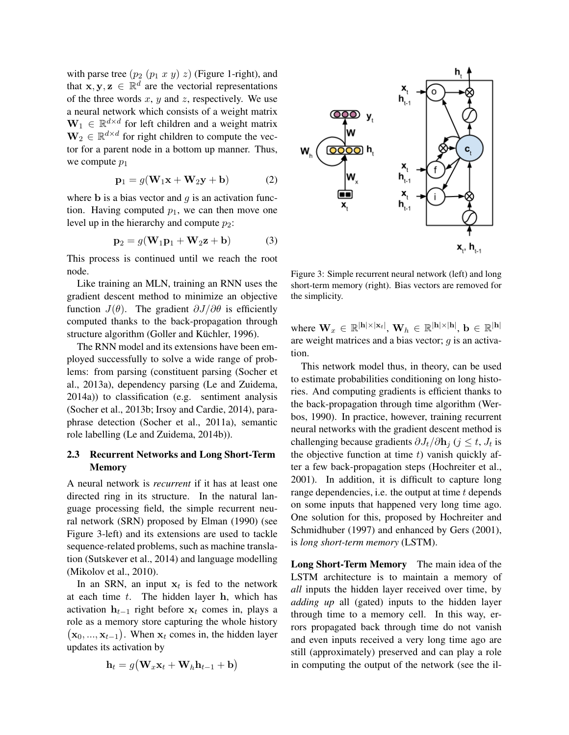with parse tree  $(p_2 (p_1 x y) z)$  (Figure 1-right), and that  $x, y, z \in \mathbb{R}^d$  are the vectorial representations of the three words  $x$ ,  $y$  and  $z$ , respectively. We use a neural network which consists of a weight matrix  $\mathbf{W}_1 \in \mathbb{R}^{d \times d}$  for left children and a weight matrix  $\mathbf{W}_2 \in \mathbb{R}^{d \times d}$  for right children to compute the vector for a parent node in a bottom up manner. Thus, we compute  $p_1$ 

$$
\mathbf{p}_1 = g(\mathbf{W}_1 \mathbf{x} + \mathbf{W}_2 \mathbf{y} + \mathbf{b}) \tag{2}
$$

where **b** is a bias vector and  $g$  is an activation function. Having computed  $p_1$ , we can then move one level up in the hierarchy and compute  $p_2$ :

$$
\mathbf{p}_2 = g(\mathbf{W}_1 \mathbf{p}_1 + \mathbf{W}_2 \mathbf{z} + \mathbf{b}) \tag{3}
$$

This process is continued until we reach the root node.

Like training an MLN, training an RNN uses the gradient descent method to minimize an objective function  $J(\theta)$ . The gradient  $\partial J/\partial \theta$  is efficiently computed thanks to the back-propagation through structure algorithm (Goller and Küchler, 1996).

The RNN model and its extensions have been employed successfully to solve a wide range of problems: from parsing (constituent parsing (Socher et al., 2013a), dependency parsing (Le and Zuidema, 2014a)) to classification (e.g. sentiment analysis (Socher et al., 2013b; Irsoy and Cardie, 2014), paraphrase detection (Socher et al., 2011a), semantic role labelling (Le and Zuidema, 2014b)).

# 2.3 Recurrent Networks and Long Short-Term Memory

A neural network is *recurrent* if it has at least one directed ring in its structure. In the natural language processing field, the simple recurrent neural network (SRN) proposed by Elman (1990) (see Figure 3-left) and its extensions are used to tackle sequence-related problems, such as machine translation (Sutskever et al., 2014) and language modelling (Mikolov et al., 2010).

In an SRN, an input  $x_t$  is fed to the network at each time  $t$ . The hidden layer  $h$ , which has activation  $h_{t-1}$  right before  $x_t$  comes in, plays a role as a memory store capturing the whole history  $(\mathbf{x}_0, ..., \mathbf{x}_{t-1})$ . When  $\mathbf{x}_t$  comes in, the hidden layer updates its activation by

$$
\mathbf{h}_t = g(\mathbf{W}_x \mathbf{x}_t + \mathbf{W}_h \mathbf{h}_{t-1} + \mathbf{b})
$$



Figure 3: Simple recurrent neural network (left) and long short-term memory (right). Bias vectors are removed for the simplicity.

where  $\mathbf{W}_x \in \mathbb{R}^{|\mathbf{h}|\times|\mathbf{x}_t|}, \, \mathbf{W}_h \in \mathbb{R}^{|\mathbf{h}|\times|\mathbf{h}|}, \, \mathbf{b} \in \mathbb{R}^{|\mathbf{h}|}$ are weight matrices and a bias vector;  $q$  is an activation.

This network model thus, in theory, can be used to estimate probabilities conditioning on long histories. And computing gradients is efficient thanks to the back-propagation through time algorithm (Werbos, 1990). In practice, however, training recurrent neural networks with the gradient descent method is challenging because gradients  $\partial J_t/\partial \mathbf{h}_j$  ( $j \leq t$ ,  $J_t$  is the objective function at time  $t$ ) vanish quickly after a few back-propagation steps (Hochreiter et al., 2001). In addition, it is difficult to capture long range dependencies, i.e. the output at time  $t$  depends on some inputs that happened very long time ago. One solution for this, proposed by Hochreiter and Schmidhuber (1997) and enhanced by Gers (2001), is *long short-term memory* (LSTM).

Long Short-Term Memory The main idea of the LSTM architecture is to maintain a memory of *all* inputs the hidden layer received over time, by *adding up* all (gated) inputs to the hidden layer through time to a memory cell. In this way, errors propagated back through time do not vanish and even inputs received a very long time ago are still (approximately) preserved and can play a role in computing the output of the network (see the il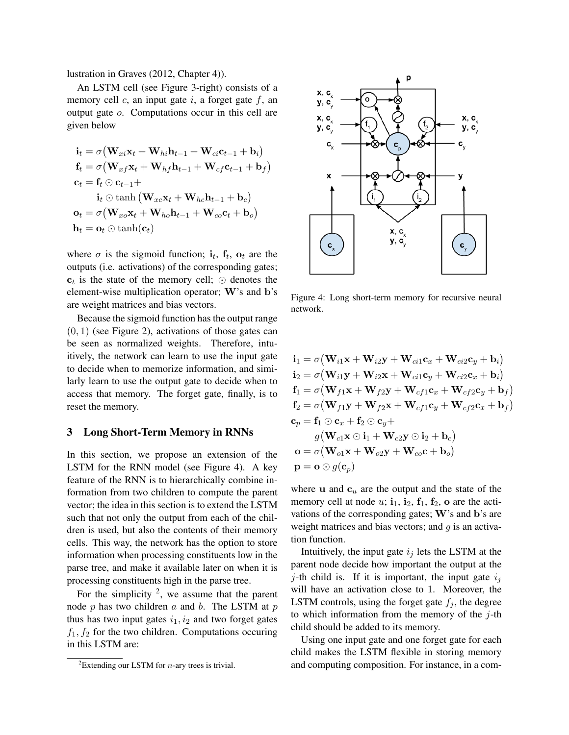lustration in Graves (2012, Chapter 4)).

An LSTM cell (see Figure 3-right) consists of a memory cell  $c$ , an input gate  $i$ , a forget gate  $f$ , an output gate o. Computations occur in this cell are given below

$$
\mathbf{i}_t = \sigma \big(\mathbf{W}_{xi}\mathbf{x}_t + \mathbf{W}_{hi}\mathbf{h}_{t-1} + \mathbf{W}_{ci}\mathbf{c}_{t-1} + \mathbf{b}_i\big)
$$
\n
$$
\mathbf{f}_t = \sigma \big(\mathbf{W}_{xf}\mathbf{x}_t + \mathbf{W}_{hf}\mathbf{h}_{t-1} + \mathbf{W}_{cf}\mathbf{c}_{t-1} + \mathbf{b}_f\big)
$$
\n
$$
\mathbf{c}_t = \mathbf{f}_t \odot \mathbf{c}_{t-1} +
$$
\n
$$
\mathbf{i}_t \odot \tanh\big(\mathbf{W}_{xc}\mathbf{x}_t + \mathbf{W}_{hc}\mathbf{h}_{t-1} + \mathbf{b}_c\big)
$$
\n
$$
\mathbf{o}_t = \sigma \big(\mathbf{W}_{xo}\mathbf{x}_t + \mathbf{W}_{ho}\mathbf{h}_{t-1} + \mathbf{W}_{co}\mathbf{c}_t + \mathbf{b}_o\big)
$$
\n
$$
\mathbf{h}_t = \mathbf{o}_t \odot \tanh(\mathbf{c}_t)
$$

where  $\sigma$  is the sigmoid function;  $\mathbf{i}_t$ ,  $\mathbf{f}_t$ ,  $\mathbf{o}_t$  are the outputs (i.e. activations) of the corresponding gates;  $c_t$  is the state of the memory cell;  $\odot$  denotes the element-wise multiplication operator; W's and b's are weight matrices and bias vectors.

Because the sigmoid function has the output range  $(0, 1)$  (see Figure 2), activations of those gates can be seen as normalized weights. Therefore, intuitively, the network can learn to use the input gate to decide when to memorize information, and similarly learn to use the output gate to decide when to access that memory. The forget gate, finally, is to reset the memory.

#### 3 Long Short-Term Memory in RNNs

In this section, we propose an extension of the LSTM for the RNN model (see Figure 4). A key feature of the RNN is to hierarchically combine information from two children to compute the parent vector; the idea in this section is to extend the LSTM such that not only the output from each of the children is used, but also the contents of their memory cells. This way, the network has the option to store information when processing constituents low in the parse tree, and make it available later on when it is processing constituents high in the parse tree.

For the simplicity  $^2$ , we assume that the parent node  $p$  has two children  $a$  and  $b$ . The LSTM at  $p$ thus has two input gates  $i_1, i_2$  and two forget gates  $f_1, f_2$  for the two children. Computations occuring in this LSTM are:



Figure 4: Long short-term memory for recursive neural network.

$$
\begin{aligned}\n\mathbf{i}_1 &= \sigma \big(\mathbf{W}_{i1} \mathbf{x} + \mathbf{W}_{i2} \mathbf{y} + \mathbf{W}_{ci1} \mathbf{c}_x + \mathbf{W}_{ci2} \mathbf{c}_y + \mathbf{b}_i \big) \\
\mathbf{i}_2 &= \sigma \big(\mathbf{W}_{i1} \mathbf{y} + \mathbf{W}_{i2} \mathbf{x} + \mathbf{W}_{ci1} \mathbf{c}_y + \mathbf{W}_{ci2} \mathbf{c}_x + \mathbf{b}_i \big) \\
\mathbf{f}_1 &= \sigma \big(\mathbf{W}_{f1} \mathbf{x} + \mathbf{W}_{f2} \mathbf{y} + \mathbf{W}_{cf1} \mathbf{c}_x + \mathbf{W}_{cf2} \mathbf{c}_y + \mathbf{b}_f \big) \\
\mathbf{f}_2 &= \sigma \big(\mathbf{W}_{f1} \mathbf{y} + \mathbf{W}_{f2} \mathbf{x} + \mathbf{W}_{cf1} \mathbf{c}_y + \mathbf{W}_{cf2} \mathbf{c}_x + \mathbf{b}_f \big) \\
\mathbf{c}_p &= \mathbf{f}_1 \odot \mathbf{c}_x + \mathbf{f}_2 \odot \mathbf{c}_y + \\
& g \big(\mathbf{W}_{c1} \mathbf{x} \odot \mathbf{i}_1 + \mathbf{W}_{c2} \mathbf{y} \odot \mathbf{i}_2 + \mathbf{b}_c \big) \\
& \mathbf{o} &= \sigma \big(\mathbf{W}_{o1} \mathbf{x} + \mathbf{W}_{o2} \mathbf{y} + \mathbf{W}_{co} \mathbf{c} + \mathbf{b}_o \big) \\
\mathbf{p} &= \mathbf{o} \odot g(\mathbf{c}_p)\n\end{aligned}
$$

where u and  $c<sub>u</sub>$  are the output and the state of the memory cell at node  $u$ ;  $\mathbf{i}_1$ ,  $\mathbf{i}_2$ ,  $\mathbf{f}_1$ ,  $\mathbf{f}_2$ ,  $\mathbf{o}$  are the activations of the corresponding gates; W's and b's are weight matrices and bias vectors; and  $q$  is an activation function.

Intuitively, the input gate  $i_j$  lets the LSTM at the parent node decide how important the output at the j-th child is. If it is important, the input gate  $i_j$ will have an activation close to 1. Moreover, the LSTM controls, using the forget gate  $f_j$ , the degree to which information from the memory of the  $j$ -th child should be added to its memory.

Using one input gate and one forget gate for each child makes the LSTM flexible in storing memory and computing composition. For instance, in a com-

<sup>&</sup>lt;sup>2</sup>Extending our LSTM for *n*-ary trees is trivial.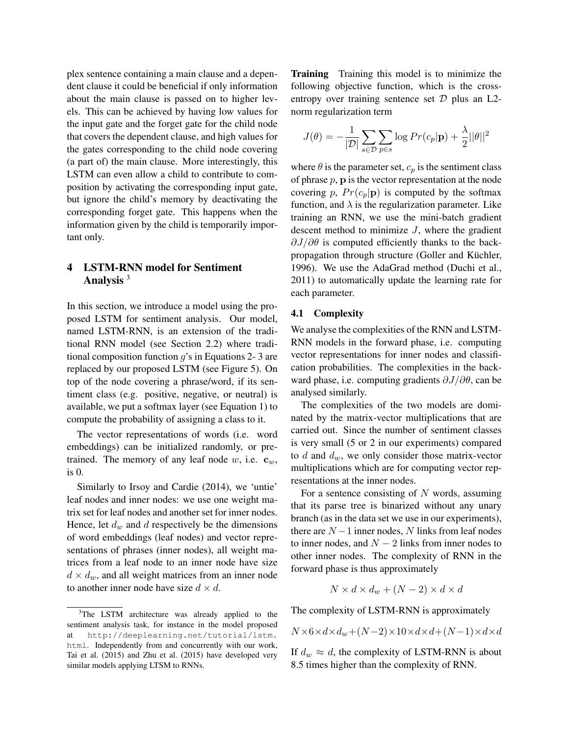plex sentence containing a main clause and a dependent clause it could be beneficial if only information about the main clause is passed on to higher levels. This can be achieved by having low values for the input gate and the forget gate for the child node that covers the dependent clause, and high values for the gates corresponding to the child node covering (a part of) the main clause. More interestingly, this LSTM can even allow a child to contribute to composition by activating the corresponding input gate, but ignore the child's memory by deactivating the corresponding forget gate. This happens when the information given by the child is temporarily important only.

# 4 LSTM-RNN model for Sentiment Analysis  $3$

In this section, we introduce a model using the proposed LSTM for sentiment analysis. Our model, named LSTM-RNN, is an extension of the traditional RNN model (see Section 2.2) where traditional composition function  $g$ 's in Equations 2-3 are replaced by our proposed LSTM (see Figure 5). On top of the node covering a phrase/word, if its sentiment class (e.g. positive, negative, or neutral) is available, we put a softmax layer (see Equation 1) to compute the probability of assigning a class to it.

The vector representations of words (i.e. word embeddings) can be initialized randomly, or pretrained. The memory of any leaf node w, i.e.  $\mathbf{c}_w$ , is 0.

Similarly to Irsoy and Cardie (2014), we 'untie' leaf nodes and inner nodes: we use one weight matrix set for leaf nodes and another set for inner nodes. Hence, let  $d_w$  and  $d$  respectively be the dimensions of word embeddings (leaf nodes) and vector representations of phrases (inner nodes), all weight matrices from a leaf node to an inner node have size  $d \times d_w$ , and all weight matrices from an inner node to another inner node have size  $d \times d$ .

Training Training this model is to minimize the following objective function, which is the crossentropy over training sentence set  $D$  plus an L2norm regularization term

$$
J(\theta) = -\frac{1}{|\mathcal{D}|} \sum_{s \in \mathcal{D}} \sum_{p \in s} \log Pr(c_p | \mathbf{p}) + \frac{\lambda}{2} ||\theta||^2
$$

where  $\theta$  is the parameter set,  $c_p$  is the sentiment class of phrase  $p$ ,  $p$  is the vector representation at the node covering p,  $Pr(c_p|\mathbf{p})$  is computed by the softmax function, and  $\lambda$  is the regularization parameter. Like training an RNN, we use the mini-batch gradient descent method to minimize  $J$ , where the gradient  $\partial J/\partial \theta$  is computed efficiently thanks to the backpropagation through structure (Goller and Küchler, 1996). We use the AdaGrad method (Duchi et al., 2011) to automatically update the learning rate for each parameter.

#### 4.1 Complexity

We analyse the complexities of the RNN and LSTM-RNN models in the forward phase, i.e. computing vector representations for inner nodes and classification probabilities. The complexities in the backward phase, i.e. computing gradients  $\partial J/\partial \theta$ , can be analysed similarly.

The complexities of the two models are dominated by the matrix-vector multiplications that are carried out. Since the number of sentiment classes is very small (5 or 2 in our experiments) compared to  $d$  and  $d_w$ , we only consider those matrix-vector multiplications which are for computing vector representations at the inner nodes.

For a sentence consisting of  $N$  words, assuming that its parse tree is binarized without any unary branch (as in the data set we use in our experiments), there are  $N-1$  inner nodes, N links from leaf nodes to inner nodes, and  $N - 2$  links from inner nodes to other inner nodes. The complexity of RNN in the forward phase is thus approximately

$$
N \times d \times d_w + (N - 2) \times d \times d
$$

The complexity of LSTM-RNN is approximately

$$
N\times6\times d\times d_w+(N-2)\times10\times d\times d+(N-1)\times d\times d
$$

If  $d_w \approx d$ , the complexity of LSTM-RNN is about 8.5 times higher than the complexity of RNN.

<sup>&</sup>lt;sup>3</sup>The LSTM architecture was already applied to the sentiment analysis task, for instance in the model proposed at http://deeplearning.net/tutorial/lstm. html. Independently from and concurrently with our work, Tai et al. (2015) and Zhu et al. (2015) have developed very similar models applying LTSM to RNNs.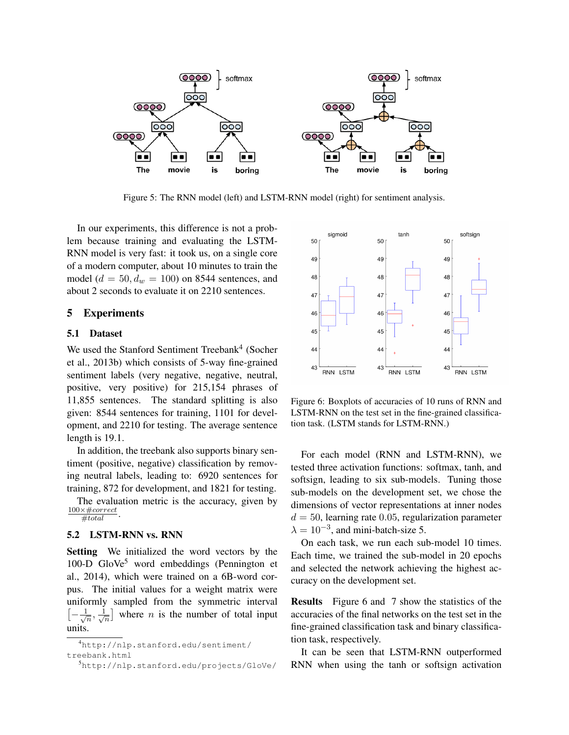

Figure 5: The RNN model (left) and LSTM-RNN model (right) for sentiment analysis.

In our experiments, this difference is not a problem because training and evaluating the LSTM-RNN model is very fast: it took us, on a single core of a modern computer, about 10 minutes to train the model ( $d = 50$ ,  $d_w = 100$ ) on 8544 sentences, and about 2 seconds to evaluate it on 2210 sentences.

## 5 Experiments

## 5.1 Dataset

We used the Stanford Sentiment Treebank<sup>4</sup> (Socher et al., 2013b) which consists of 5-way fine-grained sentiment labels (very negative, negative, neutral, positive, very positive) for 215,154 phrases of 11,855 sentences. The standard splitting is also given: 8544 sentences for training, 1101 for development, and 2210 for testing. The average sentence length is 19.1.

In addition, the treebank also supports binary sentiment (positive, negative) classification by removing neutral labels, leading to: 6920 sentences for training, 872 for development, and 1821 for testing.

The evaluation metric is the accuracy, given by  $\frac{100\times\#correct}{\#total}$ .

#### 5.2 LSTM-RNN vs. RNN

Setting We initialized the word vectors by the 100-D GloVe<sup>5</sup> word embeddings (Pennington et al., 2014), which were trained on a 6B-word corpus. The initial values for a weight matrix were uniformly sampled from the symmetric interval  $\left[-\frac{1}{\ell}\right]$  $\frac{1}{n}, \frac{1}{\sqrt{n}}$  $\frac{1}{n}$  where *n* is the number of total input units.



Figure 6: Boxplots of accuracies of 10 runs of RNN and LSTM-RNN on the test set in the fine-grained classification task. (LSTM stands for LSTM-RNN.)

For each model (RNN and LSTM-RNN), we tested three activation functions: softmax, tanh, and softsign, leading to six sub-models. Tuning those sub-models on the development set, we chose the dimensions of vector representations at inner nodes  $d = 50$ , learning rate 0.05, regularization parameter  $\lambda = 10^{-3}$ , and mini-batch-size 5.

On each task, we run each sub-model 10 times. Each time, we trained the sub-model in 20 epochs and selected the network achieving the highest accuracy on the development set.

Results Figure 6 and 7 show the statistics of the accuracies of the final networks on the test set in the fine-grained classification task and binary classification task, respectively.

It can be seen that LSTM-RNN outperformed RNN when using the tanh or softsign activation

<sup>4</sup>http://nlp.stanford.edu/sentiment/ treebank.html

<sup>5</sup>http://nlp.stanford.edu/projects/GloVe/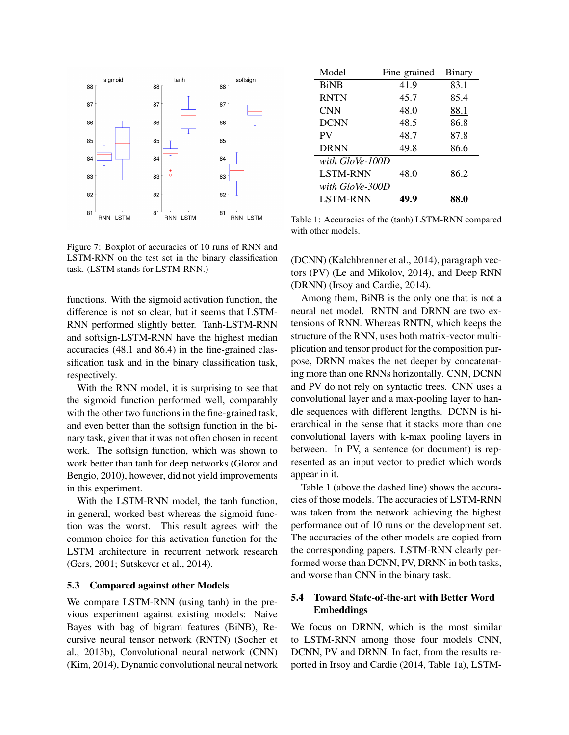

Figure 7: Boxplot of accuracies of 10 runs of RNN and LSTM-RNN on the test set in the binary classification task. (LSTM stands for LSTM-RNN.)

functions. With the sigmoid activation function, the difference is not so clear, but it seems that LSTM-RNN performed slightly better. Tanh-LSTM-RNN and softsign-LSTM-RNN have the highest median accuracies (48.1 and 86.4) in the fine-grained classification task and in the binary classification task, respectively.

With the RNN model, it is surprising to see that the sigmoid function performed well, comparably with the other two functions in the fine-grained task, and even better than the softsign function in the binary task, given that it was not often chosen in recent work. The softsign function, which was shown to work better than tanh for deep networks (Glorot and Bengio, 2010), however, did not yield improvements in this experiment.

With the LSTM-RNN model, the tanh function, in general, worked best whereas the sigmoid function was the worst. This result agrees with the common choice for this activation function for the LSTM architecture in recurrent network research (Gers, 2001; Sutskever et al., 2014).

#### 5.3 Compared against other Models

We compare LSTM-RNN (using tanh) in the previous experiment against existing models: Naive Bayes with bag of bigram features (BiNB), Recursive neural tensor network (RNTN) (Socher et al., 2013b), Convolutional neural network (CNN) (Kim, 2014), Dynamic convolutional neural network

| Model           | Fine-grained | Binary |
|-----------------|--------------|--------|
| <b>BiNB</b>     | 41.9         | 83.1   |
| <b>RNTN</b>     | 45.7         | 85.4   |
| <b>CNN</b>      | 48.0         | 88.1   |
| <b>DCNN</b>     | 48.5         | 86.8   |
| PV              | 48.7         | 87.8   |
| <b>DRNN</b>     | 49.8         | 86.6   |
| with GloVe-100D |              |        |
| <b>LSTM-RNN</b> | 48.0         | 86.2   |
| with GloVe-300D |              |        |
| <b>LSTM-RNN</b> | 49.9         | 88.0   |

Table 1: Accuracies of the (tanh) LSTM-RNN compared with other models.

(DCNN) (Kalchbrenner et al., 2014), paragraph vectors (PV) (Le and Mikolov, 2014), and Deep RNN (DRNN) (Irsoy and Cardie, 2014).

Among them, BiNB is the only one that is not a neural net model. RNTN and DRNN are two extensions of RNN. Whereas RNTN, which keeps the structure of the RNN, uses both matrix-vector multiplication and tensor product for the composition purpose, DRNN makes the net deeper by concatenating more than one RNNs horizontally. CNN, DCNN and PV do not rely on syntactic trees. CNN uses a convolutional layer and a max-pooling layer to handle sequences with different lengths. DCNN is hierarchical in the sense that it stacks more than one convolutional layers with k-max pooling layers in between. In PV, a sentence (or document) is represented as an input vector to predict which words appear in it.

Table 1 (above the dashed line) shows the accuracies of those models. The accuracies of LSTM-RNN was taken from the network achieving the highest performance out of 10 runs on the development set. The accuracies of the other models are copied from the corresponding papers. LSTM-RNN clearly performed worse than DCNN, PV, DRNN in both tasks, and worse than CNN in the binary task.

# 5.4 Toward State-of-the-art with Better Word Embeddings

We focus on DRNN, which is the most similar to LSTM-RNN among those four models CNN, DCNN, PV and DRNN. In fact, from the results reported in Irsoy and Cardie (2014, Table 1a), LSTM-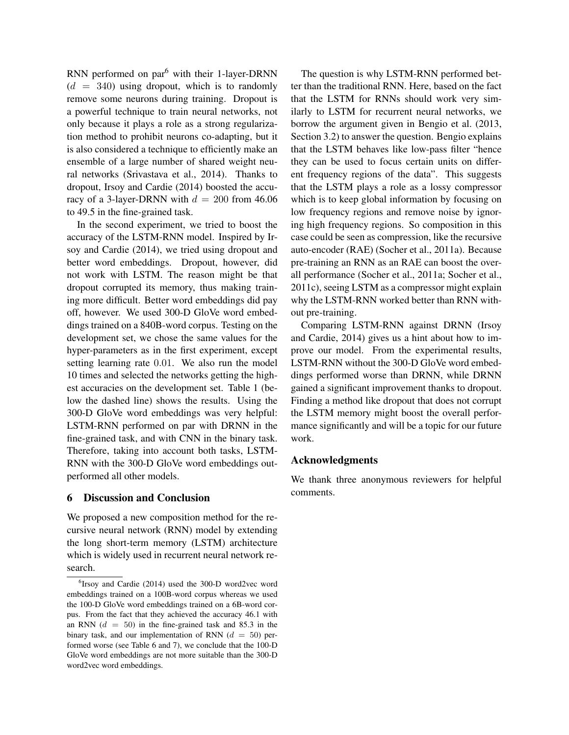RNN performed on par<sup>6</sup> with their 1-layer-DRNN  $(d = 340)$  using dropout, which is to randomly remove some neurons during training. Dropout is a powerful technique to train neural networks, not only because it plays a role as a strong regularization method to prohibit neurons co-adapting, but it is also considered a technique to efficiently make an ensemble of a large number of shared weight neural networks (Srivastava et al., 2014). Thanks to dropout, Irsoy and Cardie (2014) boosted the accuracy of a 3-layer-DRNN with  $d = 200$  from 46.06 to 49.5 in the fine-grained task.

In the second experiment, we tried to boost the accuracy of the LSTM-RNN model. Inspired by Irsoy and Cardie (2014), we tried using dropout and better word embeddings. Dropout, however, did not work with LSTM. The reason might be that dropout corrupted its memory, thus making training more difficult. Better word embeddings did pay off, however. We used 300-D GloVe word embeddings trained on a 840B-word corpus. Testing on the development set, we chose the same values for the hyper-parameters as in the first experiment, except setting learning rate 0.01. We also run the model 10 times and selected the networks getting the highest accuracies on the development set. Table 1 (below the dashed line) shows the results. Using the 300-D GloVe word embeddings was very helpful: LSTM-RNN performed on par with DRNN in the fine-grained task, and with CNN in the binary task. Therefore, taking into account both tasks, LSTM-RNN with the 300-D GloVe word embeddings outperformed all other models.

## 6 Discussion and Conclusion

We proposed a new composition method for the recursive neural network (RNN) model by extending the long short-term memory (LSTM) architecture which is widely used in recurrent neural network research.

The question is why LSTM-RNN performed better than the traditional RNN. Here, based on the fact that the LSTM for RNNs should work very similarly to LSTM for recurrent neural networks, we borrow the argument given in Bengio et al. (2013, Section 3.2) to answer the question. Bengio explains that the LSTM behaves like low-pass filter "hence they can be used to focus certain units on different frequency regions of the data". This suggests that the LSTM plays a role as a lossy compressor which is to keep global information by focusing on low frequency regions and remove noise by ignoring high frequency regions. So composition in this case could be seen as compression, like the recursive auto-encoder (RAE) (Socher et al., 2011a). Because pre-training an RNN as an RAE can boost the overall performance (Socher et al., 2011a; Socher et al., 2011c), seeing LSTM as a compressor might explain why the LSTM-RNN worked better than RNN without pre-training.

Comparing LSTM-RNN against DRNN (Irsoy and Cardie, 2014) gives us a hint about how to improve our model. From the experimental results, LSTM-RNN without the 300-D GloVe word embeddings performed worse than DRNN, while DRNN gained a significant improvement thanks to dropout. Finding a method like dropout that does not corrupt the LSTM memory might boost the overall performance significantly and will be a topic for our future work.

# Acknowledgments

We thank three anonymous reviewers for helpful comments.

<sup>6</sup> Irsoy and Cardie (2014) used the 300-D word2vec word embeddings trained on a 100B-word corpus whereas we used the 100-D GloVe word embeddings trained on a 6B-word corpus. From the fact that they achieved the accuracy 46.1 with an RNN  $(d = 50)$  in the fine-grained task and 85.3 in the binary task, and our implementation of RNN  $(d = 50)$  performed worse (see Table 6 and 7), we conclude that the 100-D GloVe word embeddings are not more suitable than the 300-D word2vec word embeddings.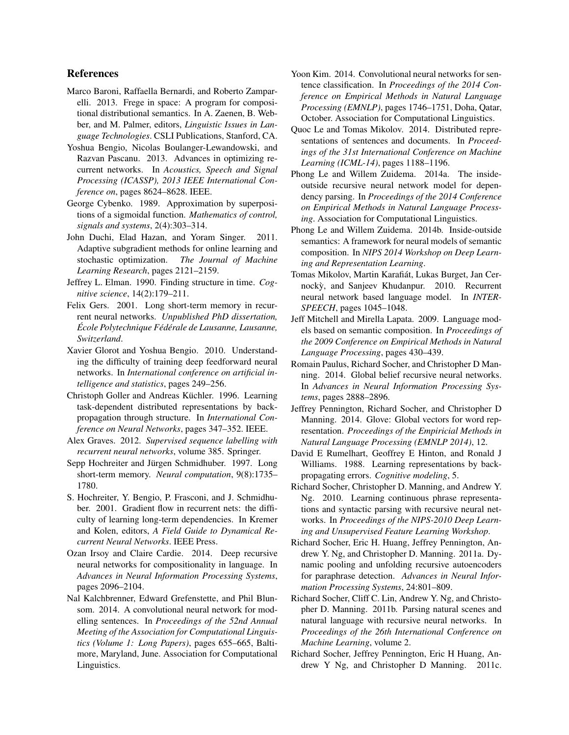## References

- Marco Baroni, Raffaella Bernardi, and Roberto Zamparelli. 2013. Frege in space: A program for compositional distributional semantics. In A. Zaenen, B. Webber, and M. Palmer, editors, *Linguistic Issues in Language Technologies*. CSLI Publications, Stanford, CA.
- Yoshua Bengio, Nicolas Boulanger-Lewandowski, and Razvan Pascanu. 2013. Advances in optimizing recurrent networks. In *Acoustics, Speech and Signal Processing (ICASSP), 2013 IEEE International Conference on*, pages 8624–8628. IEEE.
- George Cybenko. 1989. Approximation by superpositions of a sigmoidal function. *Mathematics of control, signals and systems*, 2(4):303–314.
- John Duchi, Elad Hazan, and Yoram Singer. 2011. Adaptive subgradient methods for online learning and stochastic optimization. *The Journal of Machine Learning Research*, pages 2121–2159.
- Jeffrey L. Elman. 1990. Finding structure in time. *Cognitive science*, 14(2):179–211.
- Felix Gers. 2001. Long short-term memory in recurrent neural networks. *Unpublished PhD dissertation, Ecole Polytechnique F ´ ed´ erale de Lausanne, Lausanne, ´ Switzerland*.
- Xavier Glorot and Yoshua Bengio. 2010. Understanding the difficulty of training deep feedforward neural networks. In *International conference on artificial intelligence and statistics*, pages 249–256.
- Christoph Goller and Andreas Küchler. 1996. Learning task-dependent distributed representations by backpropagation through structure. In *International Conference on Neural Networks*, pages 347–352. IEEE.
- Alex Graves. 2012. *Supervised sequence labelling with recurrent neural networks*, volume 385. Springer.
- Sepp Hochreiter and Jürgen Schmidhuber. 1997. Long short-term memory. *Neural computation*, 9(8):1735– 1780.
- S. Hochreiter, Y. Bengio, P. Frasconi, and J. Schmidhuber. 2001. Gradient flow in recurrent nets: the difficulty of learning long-term dependencies. In Kremer and Kolen, editors, *A Field Guide to Dynamical Recurrent Neural Networks*. IEEE Press.
- Ozan Irsoy and Claire Cardie. 2014. Deep recursive neural networks for compositionality in language. In *Advances in Neural Information Processing Systems*, pages 2096–2104.
- Nal Kalchbrenner, Edward Grefenstette, and Phil Blunsom. 2014. A convolutional neural network for modelling sentences. In *Proceedings of the 52nd Annual Meeting of the Association for Computational Linguistics (Volume 1: Long Papers)*, pages 655–665, Baltimore, Maryland, June. Association for Computational Linguistics.
- Yoon Kim. 2014. Convolutional neural networks for sentence classification. In *Proceedings of the 2014 Conference on Empirical Methods in Natural Language Processing (EMNLP)*, pages 1746–1751, Doha, Qatar, October. Association for Computational Linguistics.
- Quoc Le and Tomas Mikolov. 2014. Distributed representations of sentences and documents. In *Proceedings of the 31st International Conference on Machine Learning (ICML-14)*, pages 1188–1196.
- Phong Le and Willem Zuidema. 2014a. The insideoutside recursive neural network model for dependency parsing. In *Proceedings of the 2014 Conference on Empirical Methods in Natural Language Processing*. Association for Computational Linguistics.
- Phong Le and Willem Zuidema. 2014b. Inside-outside semantics: A framework for neural models of semantic composition. In *NIPS 2014 Workshop on Deep Learning and Representation Learning*.
- Tomas Mikolov, Martin Karafiat, Lukas Burget, Jan Cer- ´ nockỳ, and Sanjeev Khudanpur. 2010. Recurrent neural network based language model. In *INTER-SPEECH*, pages 1045–1048.
- Jeff Mitchell and Mirella Lapata. 2009. Language models based on semantic composition. In *Proceedings of the 2009 Conference on Empirical Methods in Natural Language Processing*, pages 430–439.
- Romain Paulus, Richard Socher, and Christopher D Manning. 2014. Global belief recursive neural networks. In *Advances in Neural Information Processing Systems*, pages 2888–2896.
- Jeffrey Pennington, Richard Socher, and Christopher D Manning. 2014. Glove: Global vectors for word representation. *Proceedings of the Empiricial Methods in Natural Language Processing (EMNLP 2014)*, 12.
- David E Rumelhart, Geoffrey E Hinton, and Ronald J Williams. 1988. Learning representations by backpropagating errors. *Cognitive modeling*, 5.
- Richard Socher, Christopher D. Manning, and Andrew Y. Ng. 2010. Learning continuous phrase representations and syntactic parsing with recursive neural networks. In *Proceedings of the NIPS-2010 Deep Learning and Unsupervised Feature Learning Workshop*.
- Richard Socher, Eric H. Huang, Jeffrey Pennington, Andrew Y. Ng, and Christopher D. Manning. 2011a. Dynamic pooling and unfolding recursive autoencoders for paraphrase detection. *Advances in Neural Information Processing Systems*, 24:801–809.
- Richard Socher, Cliff C. Lin, Andrew Y. Ng, and Christopher D. Manning. 2011b. Parsing natural scenes and natural language with recursive neural networks. In *Proceedings of the 26th International Conference on Machine Learning*, volume 2.
- Richard Socher, Jeffrey Pennington, Eric H Huang, Andrew Y Ng, and Christopher D Manning. 2011c.